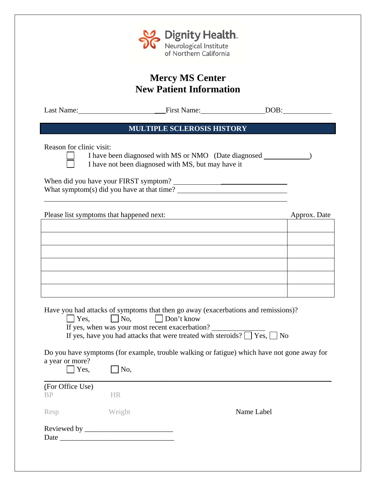

# **Mercy MS Center New Patient Information**

Last Name: \_\_\_First Name: DOB:

# **MULTIPLE SCLEROSIS HISTORY**

Reason for clinic visit:

 $\overline{a}$ 

 I have been diagnosed with MS or NMO (Date diagnosed ) I have not been diagnosed with MS, but may have it

When did you have your FIRST symptom? \_\_\_\_\_\_\_\_\_\_\_\_\_\_\_\_\_\_ What symptom(s) did you have at that time?

Please list symptoms that happened next: Approx. Date Approx. Date

| the contract of the contract of the contract of the contract of the contract of the contract of the contract of | . .<br>. |
|-----------------------------------------------------------------------------------------------------------------|----------|
|                                                                                                                 |          |
|                                                                                                                 |          |
|                                                                                                                 |          |
|                                                                                                                 |          |
|                                                                                                                 |          |
|                                                                                                                 |          |

Have you had attacks of symptoms that then go away (exacerbations and remissions)?

| Yes, | $\Box$ No, | $\Box$ Don't know |
|------|------------|-------------------|
|------|------------|-------------------|

If yes, when was your most recent exacerbation?

If yes, have you had attacks that were treated with steroids?  $\Box$  Yes,  $\Box$  No

Do you have symptoms (for example, trouble walking or fatigue) which have not gone away for a year or more?

| $\cdots$ , $\cdots$ $\cdots$<br>Yes, | No,       |            |
|--------------------------------------|-----------|------------|
| (For Office Use)                     |           |            |
| <b>BP</b>                            | <b>HR</b> |            |
| Resp                                 | Weight    | Name Label |
| Date $\_\_$                          |           |            |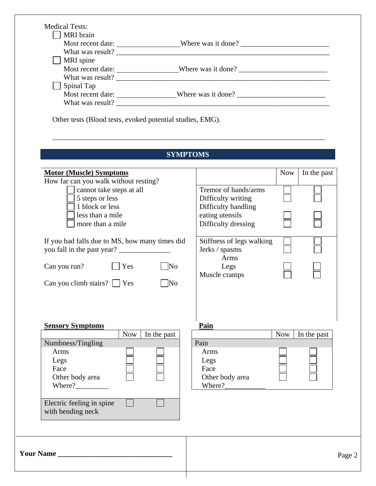| MRI brain                                                                         |                                                                                   |                           |  |
|-----------------------------------------------------------------------------------|-----------------------------------------------------------------------------------|---------------------------|--|
|                                                                                   | Most recent date: _____________________Where was it done? _______________________ |                           |  |
| MRI spine                                                                         |                                                                                   |                           |  |
| Most recent date: _____________________Where was it done? _______________________ |                                                                                   |                           |  |
|                                                                                   |                                                                                   |                           |  |
| $\Box$ Spinal Tap                                                                 |                                                                                   |                           |  |
| Most recent date: _________________Where was it done? ___________________________ |                                                                                   |                           |  |
|                                                                                   |                                                                                   |                           |  |
| Other tests (Blood tests, evoked potential studies, EMG).                         |                                                                                   |                           |  |
|                                                                                   | <b>SYMPTOMS</b>                                                                   |                           |  |
|                                                                                   |                                                                                   |                           |  |
| <b>Motor (Muscle) Symptoms</b>                                                    |                                                                                   | <b>Now</b><br>In the past |  |
| How far can you walk without resting?                                             |                                                                                   |                           |  |
| cannot take steps at all                                                          | Tremor of hands/arms                                                              |                           |  |
| 5 steps or less<br>1 block or less                                                | Difficulty writing<br>Difficulty handling                                         |                           |  |
| less than a mile                                                                  | eating utensils                                                                   |                           |  |
| more than a mile                                                                  | Difficulty dressing                                                               |                           |  |
|                                                                                   |                                                                                   |                           |  |
| If you had falls due to MS, how many times did                                    | Stiffness of legs walking                                                         |                           |  |
|                                                                                   | Jerks / spasms                                                                    |                           |  |
|                                                                                   | Arms                                                                              |                           |  |
| Can you run?<br>$ $   Yes<br>$\overline{\text{No}}$                               | Legs                                                                              |                           |  |
|                                                                                   | Muscle cramps                                                                     |                           |  |
| Can you climb stairs? $\Box$ Yes                                                  | $\overline{\rm No}$                                                               |                           |  |
|                                                                                   |                                                                                   |                           |  |
|                                                                                   |                                                                                   |                           |  |
| <b>Sensory Symptoms</b>                                                           | Pain                                                                              |                           |  |
| <b>Now</b><br>In the past                                                         |                                                                                   | <b>Now</b><br>In the past |  |
|                                                                                   |                                                                                   |                           |  |
|                                                                                   | Pain                                                                              |                           |  |
| Arms                                                                              | Arms                                                                              |                           |  |
| Legs                                                                              | Legs                                                                              |                           |  |
| Face                                                                              | Face                                                                              |                           |  |
| Other body area                                                                   | Other body area                                                                   |                           |  |
| Where?                                                                            | Where?                                                                            |                           |  |
|                                                                                   |                                                                                   |                           |  |
|                                                                                   |                                                                                   |                           |  |
| Numbness/Tingling<br>Electric feeling in spine<br>with bending neck               |                                                                                   |                           |  |
|                                                                                   |                                                                                   |                           |  |
|                                                                                   |                                                                                   |                           |  |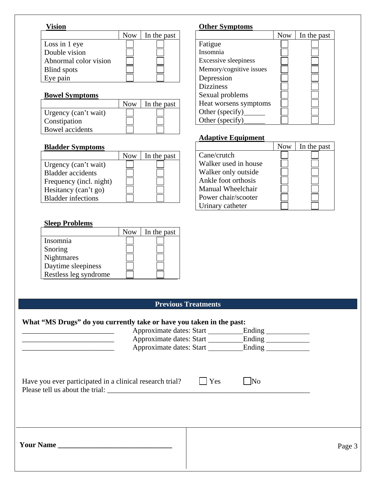#### **Vision**

|                       | <b>Now</b> | In the past |
|-----------------------|------------|-------------|
| Loss in 1 eye         |            |             |
| Double vision         |            |             |
| Abnormal color vision |            |             |
| <b>Blind</b> spots    |            |             |
| ve pain               |            |             |

### **Bowel Symptoms**

|                      | <b>Now</b> | In the past |
|----------------------|------------|-------------|
| Urgency (can't wait) |            |             |
| Constipation         |            |             |
| Bowel accidents      |            |             |

#### **Bladder Symptoms**

|                           | <b>Now</b> | In the past |
|---------------------------|------------|-------------|
| Urgency (can't wait)      |            |             |
| <b>Bladder</b> accidents  |            |             |
| Frequency (incl. night)   |            |             |
| Hesitancy (can't go)      |            |             |
| <b>Bladder</b> infections |            |             |

### **Sleep Problems**

|                       | <b>Now</b> | In the past |
|-----------------------|------------|-------------|
| Insomnia              |            |             |
| Snoring               |            |             |
| <b>Nightmares</b>     |            |             |
| Daytime sleepiness    |            |             |
| Restless leg syndrome |            |             |

## **Other Symptoms**

|                             | <b>Now</b> | In the past |
|-----------------------------|------------|-------------|
| Fatigue                     |            |             |
| Insomnia                    |            |             |
| <b>Excessive sleepiness</b> |            |             |
| Memory/cognitive issues     |            |             |
| Depression                  |            |             |
| <b>Dizziness</b>            |            |             |
| Sexual problems             |            |             |
| Heat worsens symptoms       |            |             |
| Other (specify)             |            |             |
| Other (specify)             |            |             |

### **Adaptive Equipment**

|                      | <b>Now</b> | In the past |
|----------------------|------------|-------------|
| Cane/crutch          |            |             |
| Walker used in house |            |             |
| Walker only outside  |            |             |
| Ankle foot orthosis  |            |             |
| Manual Wheelchair    |            |             |
| Power chair/scooter  |            |             |
| Urinary catheter     |            |             |

## **Previous Treatments**

#### **What "MS Drugs" do you currently take or have you taken in the past:**

| Approximate dates: Start<br>Approximate dates: Start     |     | Ending ______________<br>Approximate dates: Start Ending |        |
|----------------------------------------------------------|-----|----------------------------------------------------------|--------|
| Have you ever participated in a clinical research trial? | Yes | $\overline{\text{No}}$                                   |        |
| Please tell us about the trial:                          |     |                                                          |        |
| <b>The Value Name</b>                                    |     |                                                          | Page 3 |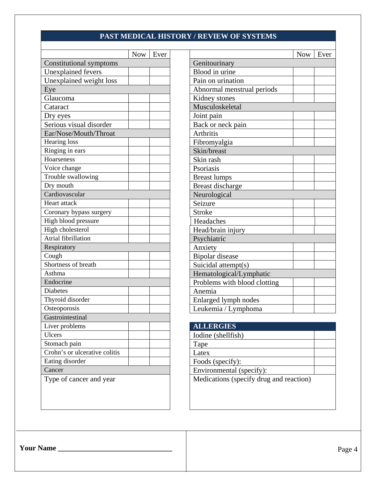### **PAST MEDICAL HISTORY / REVIEW OF SYSTEMS**

|                               | <b>Now</b> | Ever |                                         | <b>Now</b> |
|-------------------------------|------------|------|-----------------------------------------|------------|
| Constitutional symptoms       |            |      | Genitourinary                           |            |
| <b>Unexplained</b> fevers     |            |      | Blood in urine                          |            |
| Unexplained weight loss       |            |      | Pain on urination                       |            |
| Eye                           |            |      | Abnormal menstrual periods              |            |
| Glaucoma                      |            |      | Kidney stones                           |            |
| Cataract                      |            |      | Musculoskeletal                         |            |
| Dry eyes                      |            |      | Joint pain                              |            |
| Serious visual disorder       |            |      | Back or neck pain                       |            |
| Ear/Nose/Mouth/Throat         |            |      | <b>Arthritis</b>                        |            |
| Hearing loss                  |            |      | Fibromyalgia                            |            |
| Ringing in ears               |            |      | Skin/breast                             |            |
| Hoarseness                    |            |      | Skin rash                               |            |
| Voice change                  |            |      | Psoriasis                               |            |
| Trouble swallowing            |            |      | <b>Breast lumps</b>                     |            |
| Dry mouth                     |            |      | <b>Breast discharge</b>                 |            |
| Cardiovascular                |            |      | Neurological                            |            |
| Heart attack                  |            |      | Seizure                                 |            |
| Coronary bypass surgery       |            |      | <b>Stroke</b>                           |            |
| High blood pressure           |            |      | Headaches                               |            |
| High cholesterol              |            |      | Head/brain injury                       |            |
| Atrial fibrillation           |            |      | Psychiatric                             |            |
| Respiratory                   |            |      | Anxiety                                 |            |
| Cough                         |            |      | <b>Bipolar</b> disease                  |            |
| Shortness of breath           |            |      | Suicidal attempt(s)                     |            |
| Asthma                        |            |      | Hematological/Lymphatic                 |            |
| Endocrine                     |            |      | Problems with blood clotting            |            |
| <b>Diabetes</b>               |            |      | Anemia                                  |            |
| Thyroid disorder              |            |      | Enlarged lymph nodes                    |            |
| Osteoporosis                  |            |      | Leukemia / Lymphoma                     |            |
| Gastrointestinal              |            |      |                                         |            |
| Liver problems                |            |      | <b>ALLERGIES</b>                        |            |
| Ulcers                        |            |      | Iodine (shellfish)                      |            |
| Stomach pain                  |            |      | Tape                                    |            |
| Crohn's or ulcerative colitis |            |      | Latex                                   |            |
| Eating disorder               |            |      | Foods (specify):                        |            |
| Cancer                        |            |      | Environmental (specify):                |            |
| Type of cancer and year       |            |      | Medications (specify drug and reaction) |            |
|                               |            |      |                                         |            |

|                           | <b>Now</b> | Ever          |                              | <b>Now</b> | Ever |
|---------------------------|------------|---------------|------------------------------|------------|------|
| Constitutional symptoms   |            | Genitourinary |                              |            |      |
| <b>Unexplained fevers</b> |            |               | Blood in urine               |            |      |
| Unexplained weight loss   |            |               | Pain on urination            |            |      |
| Eye                       |            |               | Abnormal menstrual periods   |            |      |
| Glaucoma                  |            |               | Kidney stones                |            |      |
| Cataract                  |            |               | Musculoskeletal              |            |      |
| Dry eyes                  |            |               | Joint pain                   |            |      |
| Serious visual disorder   |            |               | Back or neck pain            |            |      |
| Ear/Nose/Mouth/Throat     |            |               | <b>Arthritis</b>             |            |      |
| Hearing loss              |            |               | Fibromyalgia                 |            |      |
| Ringing in ears           |            |               | Skin/breast                  |            |      |
| Hoarseness                |            |               | Skin rash                    |            |      |
| Voice change              |            |               | Psoriasis                    |            |      |
| Trouble swallowing        |            |               | <b>Breast lumps</b>          |            |      |
| Dry mouth                 |            |               | <b>Breast discharge</b>      |            |      |
| Cardiovascular            |            |               | Neurological                 |            |      |
| Heart attack              |            |               | Seizure                      |            |      |
| Coronary bypass surgery   |            |               | <b>Stroke</b>                |            |      |
| High blood pressure       |            |               | Headaches                    |            |      |
| High cholesterol          |            |               | Head/brain injury            |            |      |
| Atrial fibrillation       |            |               | Psychiatric                  |            |      |
| Respiratory               |            |               | Anxiety                      |            |      |
| Cough                     |            |               | Bipolar disease              |            |      |
| Shortness of breath       |            |               | Suicidal attempt(s)          |            |      |
| Asthma                    |            |               | Hematological/Lymphatic      |            |      |
| Endocrine                 |            |               | Problems with blood clotting |            |      |
| Diabetes                  |            |               | Anemia                       |            |      |
| Thyroid disorder          |            |               | Enlarged lymph nodes         |            |      |
| Osteoporosis              |            |               | Leukemia / Lymphoma          |            |      |
|                           |            |               |                              |            |      |

# Liver problems **ALLERGIES**

**Your Name \_\_\_\_\_\_\_\_\_\_\_\_\_\_\_\_\_\_\_\_\_\_\_\_\_\_\_\_\_\_\_**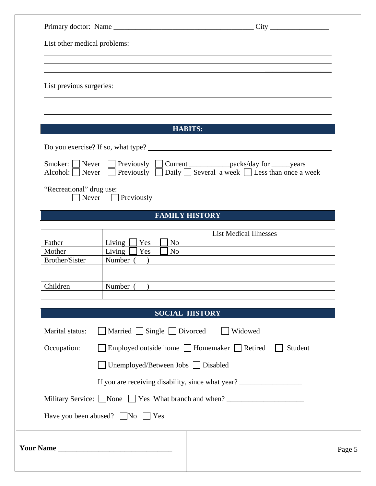| List other medical problems:            |                                                                                                                                                                          |  |
|-----------------------------------------|--------------------------------------------------------------------------------------------------------------------------------------------------------------------------|--|
| List previous surgeries:                |                                                                                                                                                                          |  |
|                                         | <b>HABITS:</b>                                                                                                                                                           |  |
|                                         | Do you exercise? If so, what type?                                                                                                                                       |  |
| Smoker:     Never<br>Alcohol:     Never | □ Previously □ Current _____________packs/day for _______years<br>Previously $\Box$ Daily $\Box$ Several a week $\Box$ Less than once a week<br>$\perp$                  |  |
| "Recreational" drug use:                | Never $\Box$<br>Previously                                                                                                                                               |  |
|                                         | <b>FAMILY HISTORY</b>                                                                                                                                                    |  |
| Father<br>Mother<br>Brother/Sister      | <b>List Medical Illnesses</b><br>Living<br>Yes<br>N <sub>o</sub><br>Living<br>Yes<br>N <sub>o</sub><br>Number (                                                          |  |
| Children                                | Number (                                                                                                                                                                 |  |
|                                         | <b>SOCIAL HISTORY</b>                                                                                                                                                    |  |
| Marital status:<br>Occupation:          | $\Box$ Married $\Box$ Single $\Box$ Divorced<br>Widowed<br>$\Box$ Employed outside home $\Box$ Homemaker $\Box$ Retired<br>Student<br>Unemployed/Between Jobs □ Disabled |  |
|                                         | If you are receiving disability, since what year? ______________________________                                                                                         |  |
|                                         | Military Service: None Yes What branch and when?<br>Have you been abused? $\Box$ No $\Box$ Yes                                                                           |  |
|                                         |                                                                                                                                                                          |  |